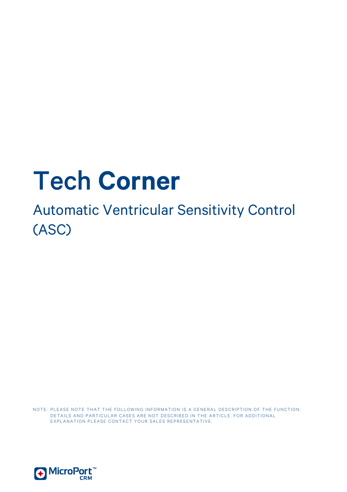# Tech **Corner**

# Automatic Ventricular Sensitivity Control (ASC)

NOTE: PLEASE NOTE THAT THE FOLLOWING INFORMATION IS A GENERAL DESCRIPTION OF THE FUNCTION. DETAILS AND PARTICULAR CASES ARE NOT DESCRIBED IN THE ARTICLE. FOR ADDITIONAL EXPLANATION PLEASE CONTACT YOUR SALES REPRESENTATIVE.

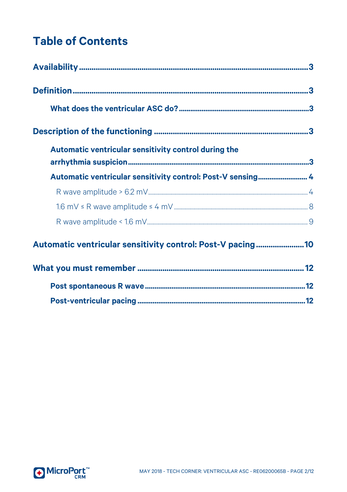# **Table of Contents**

| Automatic ventricular sensitivity control during the        |  |
|-------------------------------------------------------------|--|
| Automatic ventricular sensitivity control: Post-V sensing 4 |  |
|                                                             |  |
|                                                             |  |
|                                                             |  |
| Automatic ventricular sensitivity control: Post-V pacing10  |  |
|                                                             |  |
|                                                             |  |
|                                                             |  |

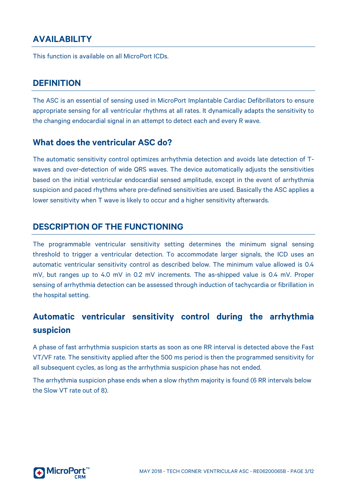#### <span id="page-2-0"></span>**AVAILABILITY**

<span id="page-2-1"></span>This function is available on all MicroPort ICDs.

#### **DEFINITION**

The ASC is an essential of sensing used in MicroPort Implantable Cardiac Defibrillators to ensure appropriate sensing for all ventricular rhythms at all rates. It dynamically adapts the sensitivity to the changing endocardial signal in an attempt to detect each and every R wave.

#### <span id="page-2-2"></span>**What does the ventricular ASC do?**

The automatic sensitivity control optimizes arrhythmia detection and avoids late detection of Twaves and over-detection of wide QRS waves. The device automatically adjusts the sensitivities based on the initial ventricular endocardial sensed amplitude, except in the event of arrhythmia suspicion and paced rhythms where pre-defined sensitivities are used. Basically the ASC applies a lower sensitivity when T wave is likely to occur and a higher sensitivity afterwards.

#### <span id="page-2-3"></span>**DESCRIPTION OF THE FUNCTIONING**

The programmable ventricular sensitivity setting determines the minimum signal sensing threshold to trigger a ventricular detection. To accommodate larger signals, the ICD uses an automatic ventricular sensitivity control as described below. The minimum value allowed is 0.4 mV, but ranges up to 4.0 mV in 0.2 mV increments. The as-shipped value is 0.4 mV. Proper sensing of arrhythmia detection can be assessed through induction of tachycardia or fibrillation in the hospital setting.

### <span id="page-2-4"></span>**Automatic ventricular sensitivity control during the arrhythmia suspicion**

A phase of fast arrhythmia suspicion starts as soon as one RR interval is detected above the Fast VT/VF rate. The sensitivity applied after the 500 ms period is then the programmed sensitivity for all subsequent cycles, as long as the arrhythmia suspicion phase has not ended.

The arrhythmia suspicion phase ends when a slow rhythm majority is found (6 RR intervals below the Slow VT rate out of 8).

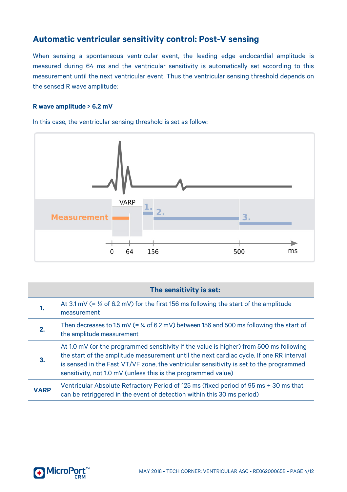#### <span id="page-3-0"></span>**Automatic ventricular sensitivity control: Post-V sensing**

When sensing a spontaneous ventricular event, the leading edge endocardial amplitude is measured during 64 ms and the ventricular sensitivity is automatically set according to this measurement until the next ventricular event. Thus the ventricular sensing threshold depends on the sensed R wave amplitude:

#### <span id="page-3-1"></span>**R wave amplitude > 6.2 mV**

In this case, the ventricular sensing threshold is set as follow:



|             | The sensitivity is set:                                                                                                                                                                                                                                                                                                                      |
|-------------|----------------------------------------------------------------------------------------------------------------------------------------------------------------------------------------------------------------------------------------------------------------------------------------------------------------------------------------------|
|             | At 3.1 mV (= $\frac{1}{2}$ of 6.2 mV) for the first 156 ms following the start of the amplitude<br>measurement                                                                                                                                                                                                                               |
| 2.          | Then decreases to 1.5 mV (= $\%$ of 6.2 mV) between 156 and 500 ms following the start of<br>the amplitude measurement                                                                                                                                                                                                                       |
| 3.          | At 1.0 mV (or the programmed sensitivity if the value is higher) from 500 ms following<br>the start of the amplitude measurement until the next cardiac cycle. If one RR interval<br>is sensed in the Fast VT/VF zone, the ventricular sensitivity is set to the programmed<br>sensitivity, not 1.0 mV (unless this is the programmed value) |
| <b>VARP</b> | Ventricular Absolute Refractory Period of 125 ms (fixed period of 95 ms + 30 ms that<br>can be retriggered in the event of detection within this 30 ms period)                                                                                                                                                                               |

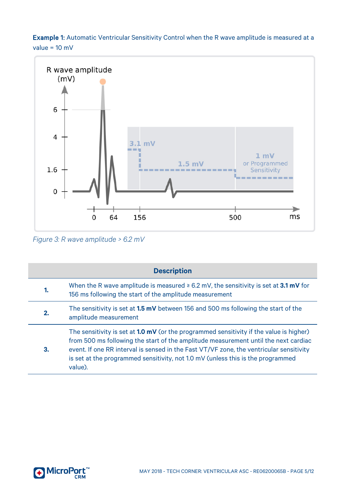Example 1: Automatic Ventricular Sensitivity Control when the R wave amplitude is measured at a value = 10 mV



*Figure 3: R wave amplitude > 6.2 mV*

| <b>Description</b> |                                                                                                                                                                                                                                                                                                                                                                                |
|--------------------|--------------------------------------------------------------------------------------------------------------------------------------------------------------------------------------------------------------------------------------------------------------------------------------------------------------------------------------------------------------------------------|
| 1.                 | When the R wave amplitude is measured $\geq 6.2$ mV, the sensitivity is set at 3.1 mV for<br>156 ms following the start of the amplitude measurement                                                                                                                                                                                                                           |
| 2.                 | The sensitivity is set at <b>1.5 mV</b> between 156 and 500 ms following the start of the<br>amplitude measurement                                                                                                                                                                                                                                                             |
| 3.                 | The sensitivity is set at <b>1.0 mV</b> (or the programmed sensitivity if the value is higher)<br>from 500 ms following the start of the amplitude measurement until the next cardiac<br>event. If one RR interval is sensed in the Fast VT/VF zone, the ventricular sensitivity<br>is set at the programmed sensitivity, not 1.0 mV (unless this is the programmed<br>value). |

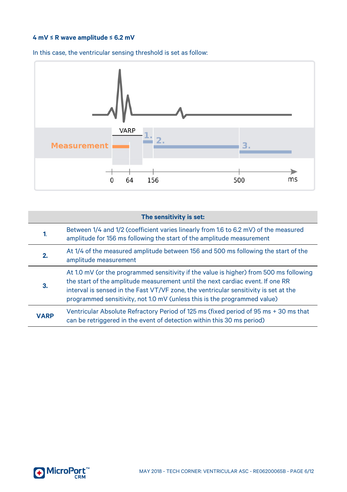#### **4 mV ≤ R wave amplitude ≤ 6.2 mV**



In this case, the ventricular sensing threshold is set as follow:

| The sensitivity is set: |                                                                                                                                                                                                                                                                                                                                              |
|-------------------------|----------------------------------------------------------------------------------------------------------------------------------------------------------------------------------------------------------------------------------------------------------------------------------------------------------------------------------------------|
| 1.                      | Between 1/4 and 1/2 (coefficient varies linearly from 1.6 to 6.2 mV) of the measured<br>amplitude for 156 ms following the start of the amplitude measurement                                                                                                                                                                                |
| 2.                      | At 1/4 of the measured amplitude between 156 and 500 ms following the start of the<br>amplitude measurement                                                                                                                                                                                                                                  |
| з.                      | At 1.0 mV (or the programmed sensitivity if the value is higher) from 500 ms following<br>the start of the amplitude measurement until the next cardiac event. If one RR<br>interval is sensed in the Fast VT/VF zone, the ventricular sensitivity is set at the<br>programmed sensitivity, not 1.0 mV (unless this is the programmed value) |
| <b>VARP</b>             | Ventricular Absolute Refractory Period of 125 ms (fixed period of 95 ms + 30 ms that<br>can be retriggered in the event of detection within this 30 ms period)                                                                                                                                                                               |

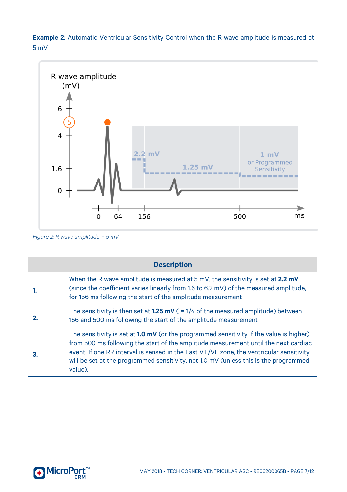**Example 2**: Automatic Ventricular Sensitivity Control when the R wave amplitude is measured at 5 mV



*Figure 2: R wave amplitude = 5 mV*

| <b>Description</b> |                                                                                                                                                                                                                                                                                                                                                                                     |
|--------------------|-------------------------------------------------------------------------------------------------------------------------------------------------------------------------------------------------------------------------------------------------------------------------------------------------------------------------------------------------------------------------------------|
|                    | When the R wave amplitude is measured at 5 mV, the sensitivity is set at 2.2 mV<br>(since the coefficient varies linearly from 1.6 to 6.2 mV) of the measured amplitude,<br>for 156 ms following the start of the amplitude measurement                                                                                                                                             |
|                    | The sensitivity is then set at <b>1.25 mV</b> ( $=$ 1/4 of the measured amplitude) between<br>156 and 500 ms following the start of the amplitude measurement                                                                                                                                                                                                                       |
|                    | The sensitivity is set at <b>1.0 mV</b> (or the programmed sensitivity if the value is higher)<br>from 500 ms following the start of the amplitude measurement until the next cardiac<br>event. If one RR interval is sensed in the Fast VT/VF zone, the ventricular sensitivity<br>will be set at the programmed sensitivity, not 1.0 mV (unless this is the programmed<br>value). |

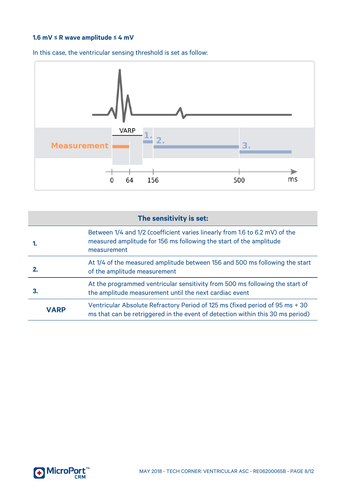#### <span id="page-7-0"></span>**1.6 mV ≤ R wave amplitude ≤ 4 mV**



In this case, the ventricular sensing threshold is set as follow:

| The sensitivity is set: |                                                                                                                                                                  |
|-------------------------|------------------------------------------------------------------------------------------------------------------------------------------------------------------|
|                         | Between 1/4 and 1/2 (coefficient varies linearly from 1.6 to 6.2 mV) of the<br>measured amplitude for 156 ms following the start of the amplitude<br>measurement |
| 2.                      | At 1/4 of the measured amplitude between 156 and 500 ms following the start<br>of the amplitude measurement                                                      |
| З.                      | At the programmed ventricular sensitivity from 500 ms following the start of<br>the amplitude measurement until the next cardiac event                           |
| <b>VARP</b>             | Ventricular Absolute Refractory Period of 125 ms (fixed period of 95 ms + 30<br>ms that can be retriggered in the event of detection within this 30 ms period)   |

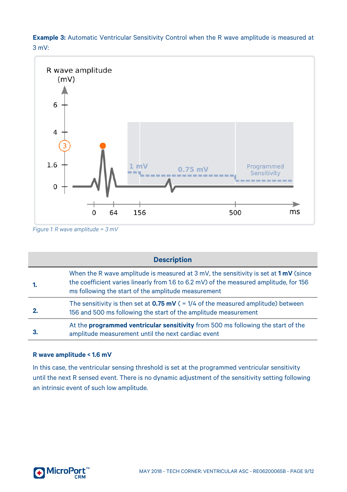**Example 3:** Automatic Ventricular Sensitivity Control when the R wave amplitude is measured at 3 mV:



*Figure 1: R wave amplitude = 3 mV*

|     | <b>Description</b>                                                                                                                                                                                                                              |
|-----|-------------------------------------------------------------------------------------------------------------------------------------------------------------------------------------------------------------------------------------------------|
| -1. | When the R wave amplitude is measured at 3 mV, the sensitivity is set at $1 \text{ mV}$ (since<br>the coefficient varies linearly from 1.6 to 6.2 mV) of the measured amplitude, for 156<br>ms following the start of the amplitude measurement |
|     | The sensitivity is then set at $0.75$ mV ( = 1/4 of the measured amplitude) between<br>156 and 500 ms following the start of the amplitude measurement                                                                                          |
| 3.  | At the programmed ventricular sensitivity from 500 ms following the start of the<br>amplitude measurement until the next cardiac event                                                                                                          |

#### <span id="page-8-0"></span>**R wave amplitude < 1.6 mV**

In this case, the ventricular sensing threshold is set at the programmed ventricular sensitivity until the next R sensed event. There is no dynamic adjustment of the sensitivity setting following an intrinsic event of such low amplitude.

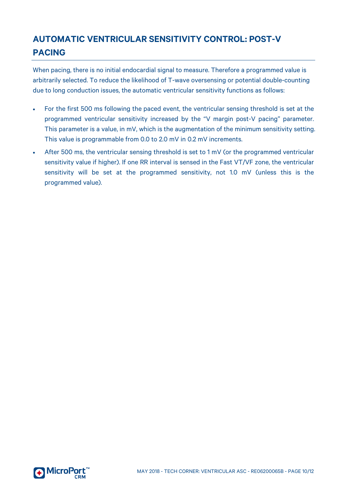## <span id="page-9-0"></span>**AUTOMATIC VENTRICULAR SENSITIVITY CONTROL: POST-V PACING**

When pacing, there is no initial endocardial signal to measure. Therefore a programmed value is arbitrarily selected. To reduce the likelihood of T-wave oversensing or potential double-counting due to long conduction issues, the automatic ventricular sensitivity functions as follows:

- For the first 500 ms following the paced event, the ventricular sensing threshold is set at the programmed ventricular sensitivity increased by the "V margin post-V pacing" parameter. This parameter is a value, in mV, which is the augmentation of the minimum sensitivity setting. This value is programmable from 0.0 to 2.0 mV in 0.2 mV increments.
- After 500 ms, the ventricular sensing threshold is set to 1 mV (or the programmed ventricular sensitivity value if higher). If one RR interval is sensed in the Fast VT/VF zone, the ventricular sensitivity will be set at the programmed sensitivity, not 1.0 mV (unless this is the programmed value).

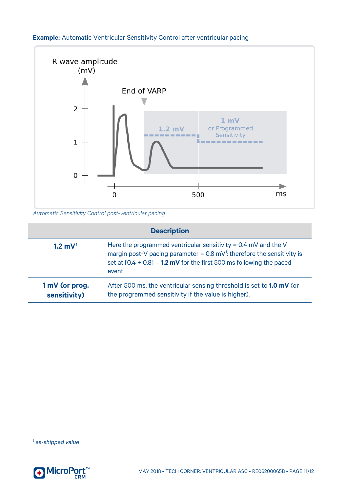#### **Example:** Automatic Ventricular Sensitivity Control after ventricular pacing



*Automatic Sensitivity Control post-ventricular pacing*

| <b>Description</b>             |                                                                                                                                                                                                                                           |  |
|--------------------------------|-------------------------------------------------------------------------------------------------------------------------------------------------------------------------------------------------------------------------------------------|--|
| $1.2 \text{ mV}^1$             | Here the programmed ventricular sensitivity = $0.4$ mV and the V<br>margin post-V pacing parameter = $0.8 \text{ mV}^1$ : therefore the sensitivity is<br>set at $[0.4 + 0.8] = 1.2$ mV for the first 500 ms following the paced<br>event |  |
| 1 mV (or prog.<br>sensitivity) | After 500 ms, the ventricular sensing threshold is set to <b>1.0 mV</b> (or<br>the programmed sensitivity if the value is higher).                                                                                                        |  |

<span id="page-10-0"></span>*<sup>1</sup> as-shipped value*